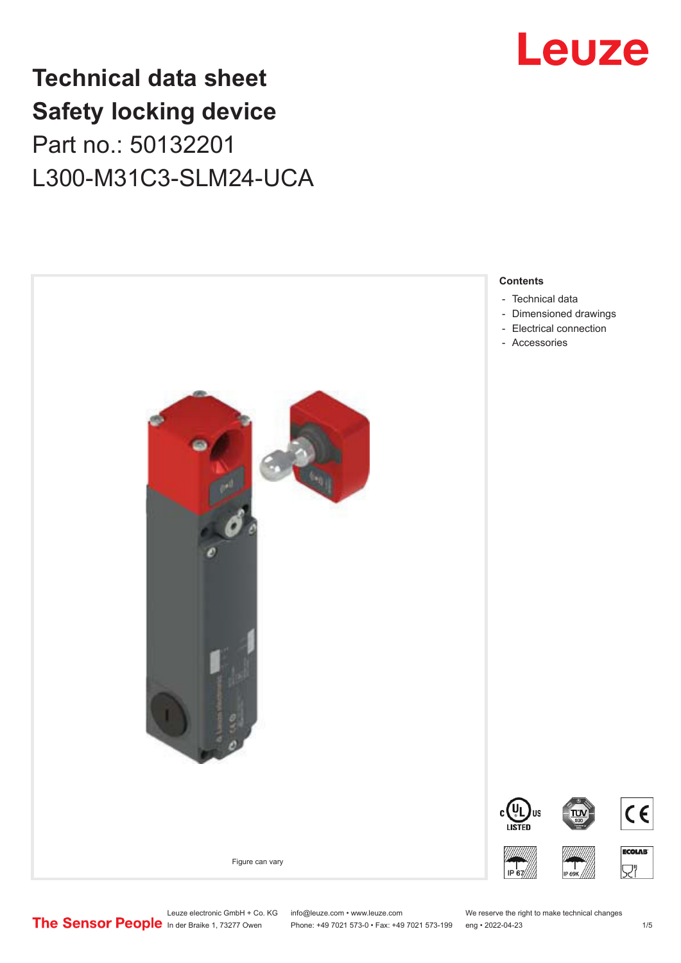## **Technical data sheet Safety locking device** Part no.: 50132201 L300-M31C3-SLM24-UCA



# Leuze

Leuze electronic GmbH + Co. KG info@leuze.com • www.leuze.com We reserve the right to make technical changes<br>
The Sensor People in der Braike 1, 73277 Owen Phone: +49 7021 573-0 • Fax: +49 7021 573-199 eng • 2022-04-23

Phone: +49 7021 573-0 • Fax: +49 7021 573-199 eng • 2022-04-23 1 /5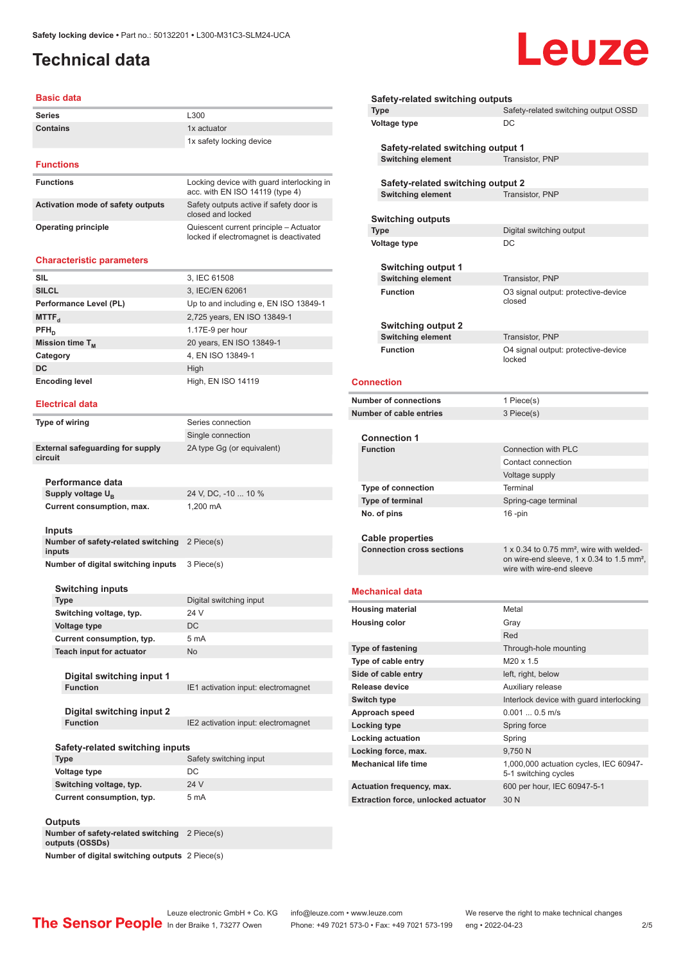## <span id="page-1-0"></span>**Technical data**

#### **Basic data**

| <b>Series</b>                     | L300                                                                         |
|-----------------------------------|------------------------------------------------------------------------------|
| Contains                          | 1x actuator                                                                  |
|                                   | 1x safety locking device                                                     |
|                                   |                                                                              |
| <b>Functions</b>                  |                                                                              |
| <b>Functions</b>                  | Locking device with guard interlocking in<br>acc. with EN ISO 14119 (type 4) |
| Activation mode of safety outputs | Safety outputs active if safety door is<br>closed and locked                 |

locked if electromagnet is deactivated

**Operating principle CONFIDENTIAL CONFIDENT** Cuiescent current principle – Actuator

#### **Characteristic parameters**

| <b>SIL</b>             | 3, IEC 61508                          |
|------------------------|---------------------------------------|
| <b>SILCL</b>           | 3, IEC/EN 62061                       |
| Performance Level (PL) | Up to and including e, EN ISO 13849-1 |
| MTTF <sub>d</sub>      | 2,725 years, EN ISO 13849-1           |
| $PFH_{n}$              | 1.17E-9 per hour                      |
| Mission time $T_{M}$   | 20 years, EN ISO 13849-1              |
| Category               | 4, EN ISO 13849-1                     |
| DC                     | High                                  |
| <b>Encoding level</b>  | High, EN ISO 14119                    |

#### **Electrical data**

| Type of wiring                                     | Series connection                   |
|----------------------------------------------------|-------------------------------------|
|                                                    | Single connection                   |
| <b>External safeguarding for supply</b><br>circuit | 2A type Gq (or equivalent)          |
| Performance data                                   |                                     |
| Supply voltage U <sub>B</sub>                      | 24 V, DC, -10  10 %                 |
| Current consumption, max.                          | 1.200 mA                            |
| Inputs                                             |                                     |
| Number of safety-related switching<br>inputs       | 2 Piece(s)                          |
| Number of digital switching inputs                 | 3 Piece(s)                          |
| <b>Switching inputs</b>                            |                                     |
| <b>Type</b>                                        | Digital switching input             |
| Switching voltage, typ.                            | 24 V                                |
| <b>Voltage type</b>                                | DC.                                 |
| Current consumption, typ.                          | 5 <sub>mA</sub>                     |
| Teach input for actuator                           | <b>No</b>                           |
| Digital switching input 1                          |                                     |
| <b>Function</b>                                    | IE1 activation input: electromagnet |
| Digital switching input 2                          |                                     |
| <b>Function</b>                                    | IE2 activation input: electromagnet |
| Safety-related switching inputs                    |                                     |
| <b>Type</b>                                        | Safety switching input              |
| <b>Voltage type</b>                                | DC.                                 |

## **Switching voltage, typ.** 24 V **Current consumption, typ.** 5 mA

| <b>Outputs</b>                                        |            |
|-------------------------------------------------------|------------|
| Number of safety-related switching<br>outputs (OSSDs) | 2 Piece(s) |
| Number of digital switching outputs 2 Piece(s)        |            |

| Safety-related switching outputs<br><b>Type</b> | Safety-related switching output OSSD                                                                                                       |
|-------------------------------------------------|--------------------------------------------------------------------------------------------------------------------------------------------|
| Voltage type                                    | DC                                                                                                                                         |
| Safety-related switching output 1               |                                                                                                                                            |
| <b>Switching element</b>                        | Transistor, PNP                                                                                                                            |
| Safety-related switching output 2               |                                                                                                                                            |
| <b>Switching element</b>                        | Transistor, PNP                                                                                                                            |
|                                                 |                                                                                                                                            |
| <b>Switching outputs</b>                        |                                                                                                                                            |
| <b>Type</b>                                     | Digital switching output                                                                                                                   |
| Voltage type                                    | DC                                                                                                                                         |
|                                                 |                                                                                                                                            |
| <b>Switching output 1</b>                       |                                                                                                                                            |
| <b>Switching element</b>                        | Transistor, PNP                                                                                                                            |
| <b>Function</b>                                 | O3 signal output: protective-device<br>closed                                                                                              |
|                                                 |                                                                                                                                            |
| <b>Switching output 2</b>                       |                                                                                                                                            |
| <b>Switching element</b>                        | Transistor, PNP                                                                                                                            |
| <b>Function</b>                                 | O4 signal output: protective-device<br>locked                                                                                              |
| <b>Connection</b>                               |                                                                                                                                            |
| <b>Number of connections</b>                    | 1 Piece(s)                                                                                                                                 |
| <b>Number of cable entries</b>                  | 3 Piece(s)                                                                                                                                 |
| <b>Connection 1</b>                             |                                                                                                                                            |
| <b>Function</b>                                 | <b>Connection with PLC</b>                                                                                                                 |
|                                                 | Contact connection                                                                                                                         |
|                                                 | Voltage supply                                                                                                                             |
| <b>Type of connection</b>                       | Terminal                                                                                                                                   |
| Type of terminal                                | Spring-cage terminal                                                                                                                       |
| No. of pins                                     | $16$ -pin                                                                                                                                  |
| <b>Cable properties</b>                         |                                                                                                                                            |
| <b>Connection cross sections</b>                | 1 x 0.34 to 0.75 mm <sup>2</sup> , wire with welded-<br>on wire-end sleeve, 1 x 0.34 to 1.5 mm <sup>2</sup> ,<br>wire with wire-end sleeve |
| <b>Mechanical data</b>                          |                                                                                                                                            |
| <b>Housing material</b>                         | Metal                                                                                                                                      |
|                                                 |                                                                                                                                            |

Leuze

| <b>HOUSING INDUCTION</b>                   | <b>IVIELAI</b>                                                 |
|--------------------------------------------|----------------------------------------------------------------|
| <b>Housing color</b>                       | Gray                                                           |
|                                            | Red                                                            |
| <b>Type of fastening</b>                   | Through-hole mounting                                          |
| Type of cable entry                        | M20 x 1.5                                                      |
| Side of cable entry                        | left, right, below                                             |
| Release device                             | Auxiliary release                                              |
| Switch type                                | Interlock device with guard interlocking                       |
| Approach speed                             | $0.0010.5$ m/s                                                 |
| Locking type                               | Spring force                                                   |
| Locking actuation                          | Spring                                                         |
| Locking force, max.                        | 9,750 N                                                        |
| <b>Mechanical life time</b>                | 1,000,000 actuation cycles, IEC 60947-<br>5-1 switching cycles |
| Actuation frequency, max.                  | 600 per hour, IEC 60947-5-1                                    |
| <b>Extraction force, unlocked actuator</b> | 30 N                                                           |
|                                            |                                                                |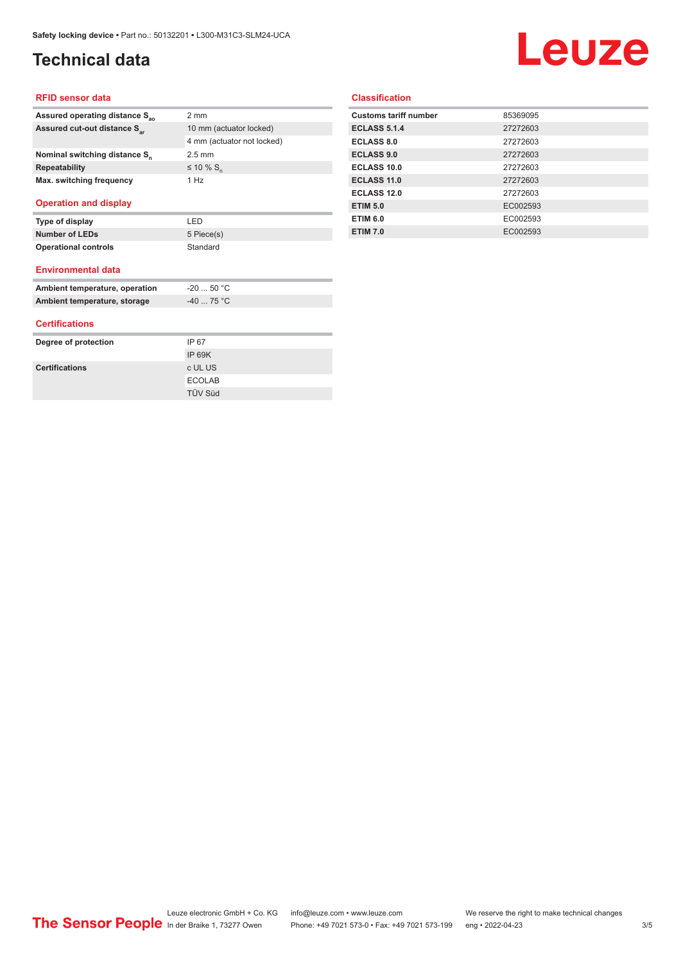## **Technical data**

# **Leuze**

#### **RFID sensor data**

| Assured operating distance S <sub>ao</sub> | $2 \text{ mm}$             |
|--------------------------------------------|----------------------------|
| Assured cut-out distance S <sub>ar</sub>   | 10 mm (actuator locked)    |
|                                            | 4 mm (actuator not locked) |
| Nominal switching distance S <sub>n</sub>  | $2.5 \text{ mm}$           |
| <b>Repeatability</b>                       | ≤ 10 % S <sub>n</sub>      |
| Max. switching frequency                   | 1 Hz                       |
|                                            |                            |

#### **Operation and display**

| Type of display             | I ED       |
|-----------------------------|------------|
| <b>Number of LEDs</b>       | 5 Piece(s) |
| <b>Operational controls</b> | Standard   |

#### **Environmental data**

| Ambient temperature, operation | -20  50 °C |
|--------------------------------|------------|
| Ambient temperature, storage   | $-4075 °C$ |

#### **Certifications**

| Degree of protection  | IP 67          |
|-----------------------|----------------|
|                       | IP 69K         |
| <b>Certifications</b> | c UL US        |
|                       | <b>ECOLAB</b>  |
|                       | <b>TÜV Süd</b> |

#### **Classification**

| <b>Customs tariff number</b> | 85369095 |
|------------------------------|----------|
| <b>ECLASS 5.1.4</b>          | 27272603 |
| <b>ECLASS 8.0</b>            | 27272603 |
| <b>ECLASS 9.0</b>            | 27272603 |
| ECLASS 10.0                  | 27272603 |
| <b>ECLASS 11.0</b>           | 27272603 |
| ECLASS 12.0                  | 27272603 |
| <b>ETIM 5.0</b>              | EC002593 |
| <b>ETIM 6.0</b>              | EC002593 |
| <b>ETIM 7.0</b>              | EC002593 |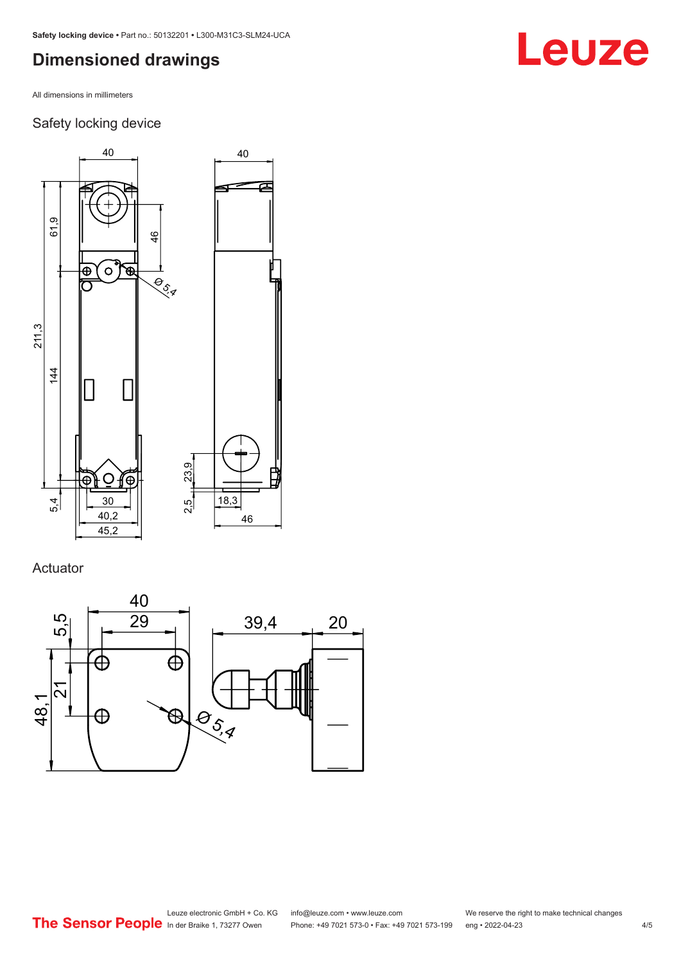## <span id="page-3-0"></span>**Dimensioned drawings**

All dimensions in millimeters

### Safety locking device